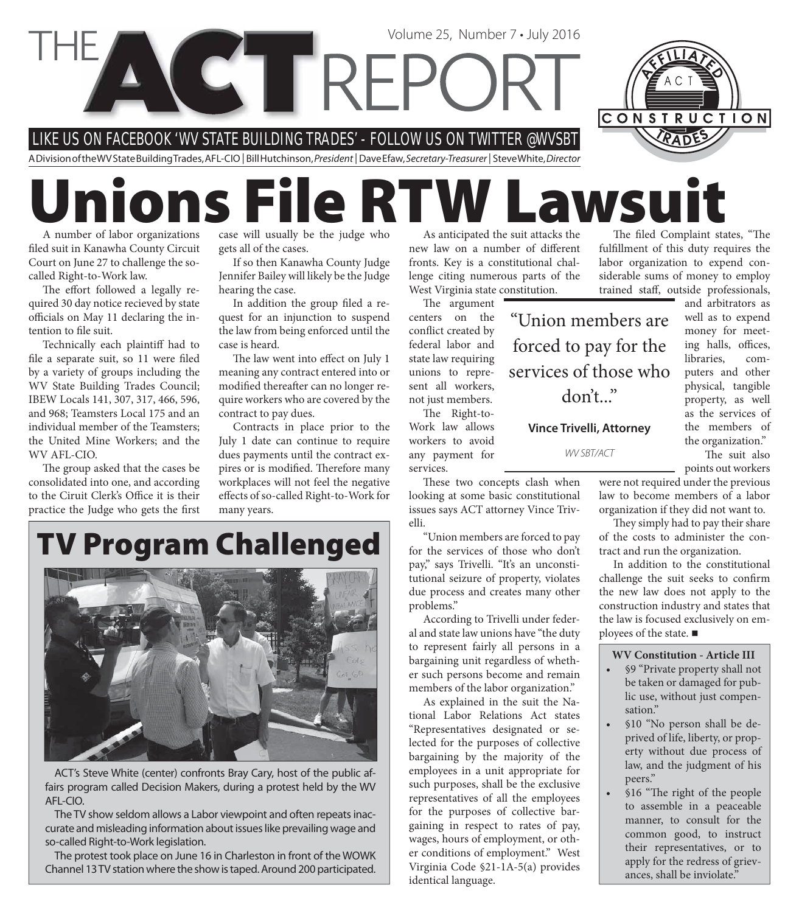

# **Unions File RTW Lawsuit**

A number of labor organizations filed suit in Kanawha County Circuit Court on June 27 to challenge the socalled Right-to-Work law.

The effort followed a legally required 30 day notice recieved by state officials on May 11 declaring the intention to file suit.

Technically each plaintiff had to file a separate suit, so 11 were filed by a variety of groups including the WV State Building Trades Council; IBEW Locals 141, 307, 317, 466, 596, and 968; Teamsters Local 175 and an individual member of the Teamsters; the United Mine Workers; and the WV AFL-CIO.

The group asked that the cases be consolidated into one, and according to the Ciruit Clerk's Office it is their practice the Judge who gets the first

case will usually be the judge who gets all of the cases.

If so then Kanawha County Judge Jennifer Bailey will likely be the Judge hearing the case.

In addition the group filed a request for an injunction to suspend the law from being enforced until the case is heard.

The law went into effect on July 1 meaning any contract entered into or modified thereafter can no longer require workers who are covered by the contract to pay dues.

Contracts in place prior to the July 1 date can continue to require dues payments until the contract expires or is modified. Therefore many workplaces will not feel the negative effects of so-called Right-to-Work for many years.

As anticipated the suit attacks the new law on a number of different fronts. Key is a constitutional challenge citing numerous parts of the West Virginia state constitution.

The argument centers on the conflict created by federal labor and state law requiring unions to represent all workers, not just members. "Union members are forced to pay for the services of those who

The Right-to-Work law allows workers to avoid any payment for services.

These two concepts clash when looking at some basic constitutional issues says ACT attorney Vince Trivelli.

don't..."

**Vince Trivelli, Attorney**

WV SBT/ACT

"Union members are forced to pay for the services of those who don't pay," says Trivelli. "It's an unconstitutional seizure of property, violates due process and creates many other problems."

According to Trivelli under federal and state law unions have "the duty to represent fairly all persons in a bargaining unit regardless of whether such persons become and remain members of the labor organization."

As explained in the suit the National Labor Relations Act states "Representatives designated or selected for the purposes of collective bargaining by the majority of the employees in a unit appropriate for such purposes, shall be the exclusive representatives of all the employees for the purposes of collective bargaining in respect to rates of pay, wages, hours of employment, or other conditions of employment." West Virginia Code §21-1A-5(a) provides identical language.

The filed Complaint states, "The fulfillment of this duty requires the labor organization to expend considerable sums of money to employ trained staff, outside professionals,

> and arbitrators as well as to expend money for meeting halls, offices, libraries, computers and other physical, tangible property, as well as the services of the members of the organization." The suit also

points out workers were not required under the previous law to become members of a labor

organization if they did not want to. They simply had to pay their share

of the costs to administer the contract and run the organization.

In addition to the constitutional challenge the suit seeks to confirm the new law does not apply to the construction industry and states that the law is focused exclusively on employees of the state. ■

#### **WV Constitution - Article III**

- §9 "Private property shall not be taken or damaged for public use, without just compensation."
- §10 "No person shall be deprived of life, liberty, or property without due process of law, and the judgment of his peers."
- §16 "The right of the people to assemble in a peaceable manner, to consult for the common good, to instruct their representatives, or to apply for the redress of grievances, shall be inviolate."

### **TV Program Challenged**



ACT's Steve White (center) confronts Bray Cary, host of the public affairs program called Decision Makers, during a protest held by the WV AFL-CIO.

The TV show seldom allows a Labor viewpoint and often repeats inaccurate and misleading information about issues like prevailing wage and so-called Right-to-Work legislation.

The protest took place on June 16 in Charleston in front of the WOWK Channel 13 TV station where the show is taped. Around 200 participated.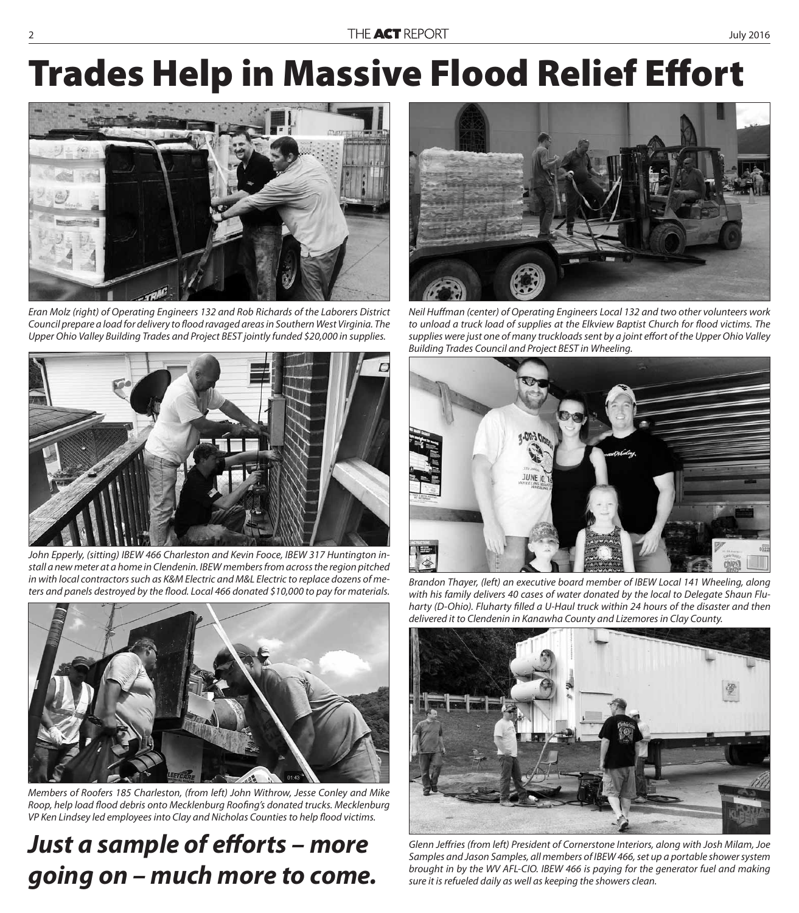## **Trades Help in Massive Flood Relief Effort**



Eran Molz (right) of Operating Engineers 132 and Rob Richards of the Laborers District Council prepare a load for delivery to flood ravaged areas in Southern West Virginia. The Upper Ohio Valley Building Trades and Project BEST jointly funded \$20,000 in supplies.



John Epperly, (sitting) IBEW 466 Charleston and Kevin Fooce, IBEW 317 Huntington install a new meter at a home in Clendenin. IBEW members from across the region pitched in with local contractors such as K&M Electric and M&L Electric to replace dozens of mein with local contractors such as K&M Electric and M&L Electric to replace dozens of me-<br>ters and panels destroyed by the flood. Local 466 donated \$10,000 to pay for materials. With his family delivers 40 cases of water do



Members of Roofers 185 Charleston, (from left) John Withrow, Jesse Conley and Mike Roop, help load flood debris onto Mecklenburg Roofing's donated trucks. Mecklenburg VP Ken Lindsey led employees into Clay and Nicholas Counties to help flood victims.

#### Just a sample of efforts - more *going on – much more to come.*



Neil Huffman (center) of Operating Engineers Local 132 and two other volunteers work to unload a truck load of supplies at the Elkview Baptist Church for flood victims. The supplies were just one of many truckloads sent by a joint effort of the Upper Ohio Valley Building Trades Council and Project BEST in Wheeling.



with his family delivers 40 cases of water donated by the local to Delegate Shaun Fluharty (D-Ohio). Fluharty filled a U-Haul truck within 24 hours of the disaster and then delivered it to Clendenin in Kanawha County and Lizemores in Clay County.



Glenn Jeffries (from left) President of Cornerstone Interiors, along with Josh Milam, Joe Samples and Jason Samples, all members of IBEW 466, set up a portable shower system brought in by the WV AFL-CIO. IBEW 466 is paying for the generator fuel and making sure it is refueled daily as well as keeping the showers clean.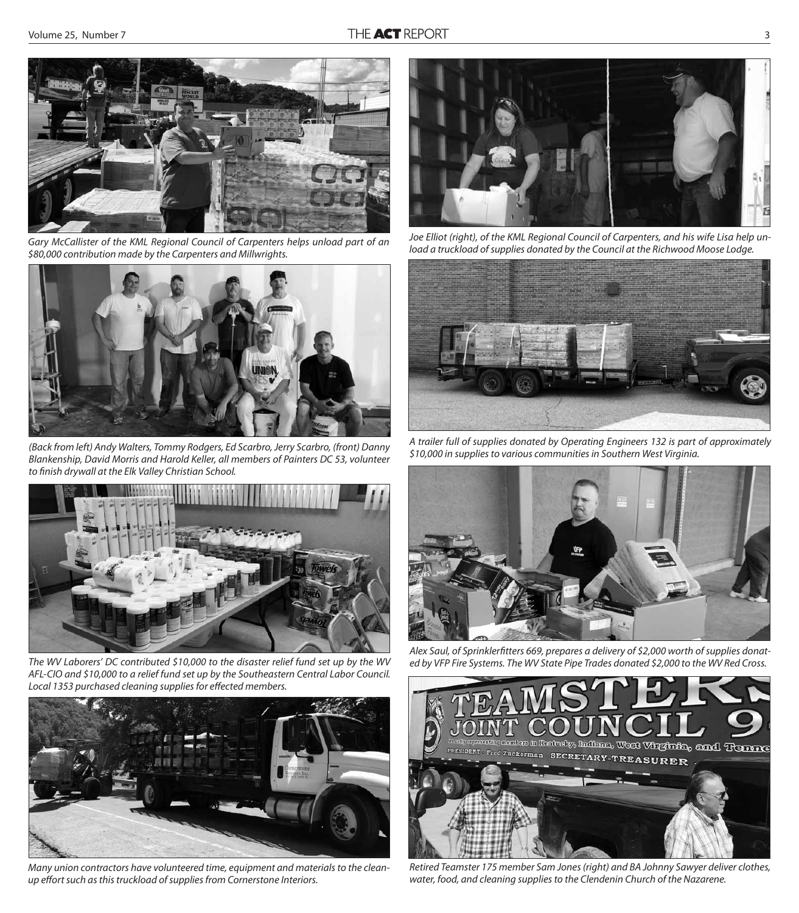

Gary McCallister of the KML Regional Council of Carpenters helps unload part of an \$80,000 contribution made by the Carpenters and Millwrights.



(Back from left) Andy Walters, Tommy Rodgers, Ed Scarbro, Jerry Scarbro, (front) Danny Blankenship, David Morris and Harold Keller, all members of Painters DC 53, volunteer to finish drywall at the Elk Valley Christian School.



The WV Laborers' DC contributed \$10,000 to the disaster relief fund set up by the WV AFL-CIO and \$10,000 to a relief fund set up by the Southeastern Central Labor Council. Local 1353 purchased cleaning supplies for effected members.



Many union contractors have volunteered time, equipment and materials to the cleanup effort such as this truckload of supplies from Cornerstone Interiors.



Joe Elliot (right), of the KML Regional Council of Carpenters, and his wife Lisa help unload a truckload of supplies donated by the Council at the Richwood Moose Lodge.



A trailer full of supplies donated by Operating Engineers 132 is part of approximately \$10,000 in supplies to various communities in Southern West Virginia.



Alex Saul, of Sprinklerfitters 669, prepares a delivery of \$2,000 worth of supplies donated by VFP Fire Systems. The WV State Pipe Trades donated \$2,000 to the WV Red Cross.



Retired Teamster 175 member Sam Jones (right) and BA Johnny Sawyer deliver clothes, water, food, and cleaning supplies to the Clendenin Church of the Nazarene.